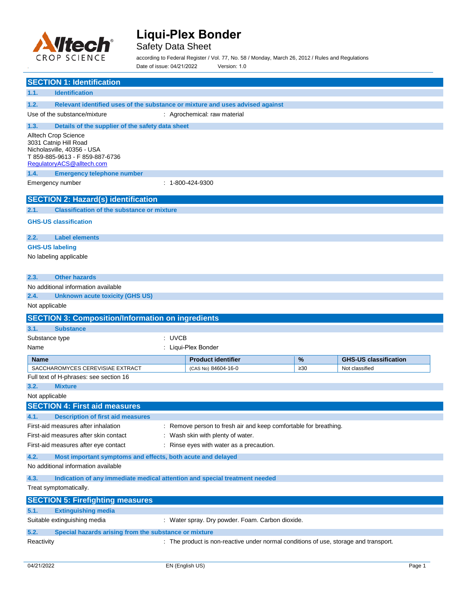

# **Liqui-Plex Bonder**

## Safety Data Sheet

according to Federal Register / Vol. 77, No. 58 / Monday, March 26, 2012 / Rules and Regulations Date of issue: 04/21/2022 Version: 1.0

|                    | <b>SECTION 1: Identification</b>                                                                                                            |        |                                                                                      |           |                                     |  |  |  |
|--------------------|---------------------------------------------------------------------------------------------------------------------------------------------|--------|--------------------------------------------------------------------------------------|-----------|-------------------------------------|--|--|--|
| 1.1.               | <b>Identification</b>                                                                                                                       |        |                                                                                      |           |                                     |  |  |  |
| 1.2.               | Relevant identified uses of the substance or mixture and uses advised against                                                               |        |                                                                                      |           |                                     |  |  |  |
|                    | Use of the substance/mixture                                                                                                                |        | : Agrochemical: raw material                                                         |           |                                     |  |  |  |
| 1.3.               | Details of the supplier of the safety data sheet                                                                                            |        |                                                                                      |           |                                     |  |  |  |
|                    | Alltech Crop Science<br>3031 Catnip Hill Road<br>Nicholasville, 40356 - USA<br>T 859-885-9613 - F 859-887-6736<br>RegulatoryACS@alltech.com |        |                                                                                      |           |                                     |  |  |  |
| 1.4.               | <b>Emergency telephone number</b>                                                                                                           |        |                                                                                      |           |                                     |  |  |  |
|                    | Emergency number                                                                                                                            |        | : 1-800-424-9300                                                                     |           |                                     |  |  |  |
|                    | <b>SECTION 2: Hazard(s) identification</b>                                                                                                  |        |                                                                                      |           |                                     |  |  |  |
| 2.1.               | <b>Classification of the substance or mixture</b>                                                                                           |        |                                                                                      |           |                                     |  |  |  |
|                    | <b>GHS-US classification</b>                                                                                                                |        |                                                                                      |           |                                     |  |  |  |
| 2.2.               | <b>Label elements</b>                                                                                                                       |        |                                                                                      |           |                                     |  |  |  |
|                    | <b>GHS-US labeling</b>                                                                                                                      |        |                                                                                      |           |                                     |  |  |  |
|                    | No labeling applicable                                                                                                                      |        |                                                                                      |           |                                     |  |  |  |
|                    |                                                                                                                                             |        |                                                                                      |           |                                     |  |  |  |
| 2.3.               | <b>Other hazards</b>                                                                                                                        |        |                                                                                      |           |                                     |  |  |  |
|                    | No additional information available                                                                                                         |        |                                                                                      |           |                                     |  |  |  |
| 2.4.               | <b>Unknown acute toxicity (GHS US)</b>                                                                                                      |        |                                                                                      |           |                                     |  |  |  |
| Not applicable     |                                                                                                                                             |        |                                                                                      |           |                                     |  |  |  |
|                    | <b>SECTION 3: Composition/Information on ingredients</b>                                                                                    |        |                                                                                      |           |                                     |  |  |  |
| 3.1.               | <b>Substance</b>                                                                                                                            |        |                                                                                      |           |                                     |  |  |  |
| Substance type     |                                                                                                                                             | : UVCB |                                                                                      |           |                                     |  |  |  |
| Name               |                                                                                                                                             |        | : Liqui-Plex Bonder                                                                  |           |                                     |  |  |  |
| <b>Name</b>        |                                                                                                                                             |        | <b>Product identifier</b>                                                            | %         | <b>GHS-US classification</b>        |  |  |  |
|                    | SACCHAROMYCES CEREVISIAE EXTRACT                                                                                                            |        | (CAS No) 84604-16-0                                                                  | $\geq 30$ | Not classified                      |  |  |  |
|                    | Full text of H-phrases: see section 16                                                                                                      |        |                                                                                      |           |                                     |  |  |  |
| 3.2.               | <b>Mixture</b>                                                                                                                              |        |                                                                                      |           |                                     |  |  |  |
| Not applicable     |                                                                                                                                             |        |                                                                                      |           |                                     |  |  |  |
|                    | <b>SECTION 4: First aid measures</b>                                                                                                        |        |                                                                                      |           |                                     |  |  |  |
| 4.1.               | <b>Description of first aid measures</b>                                                                                                    |        |                                                                                      |           |                                     |  |  |  |
|                    | First-aid measures after inhalation<br>: Remove person to fresh air and keep comfortable for breathing.                                     |        |                                                                                      |           |                                     |  |  |  |
|                    | First-aid measures after skin contact<br>: Wash skin with plenty of water.                                                                  |        |                                                                                      |           |                                     |  |  |  |
|                    | First-aid measures after eye contact                                                                                                        |        | : Rinse eyes with water as a precaution.                                             |           |                                     |  |  |  |
| 4.2.               | Most important symptoms and effects, both acute and delayed                                                                                 |        |                                                                                      |           |                                     |  |  |  |
|                    |                                                                                                                                             |        |                                                                                      |           | No additional information available |  |  |  |
|                    |                                                                                                                                             |        |                                                                                      |           |                                     |  |  |  |
| 4.3.               | Indication of any immediate medical attention and special treatment needed                                                                  |        |                                                                                      |           |                                     |  |  |  |
|                    | Treat symptomatically.                                                                                                                      |        |                                                                                      |           |                                     |  |  |  |
|                    | <b>SECTION 5: Firefighting measures</b>                                                                                                     |        |                                                                                      |           |                                     |  |  |  |
| 5.1.               | <b>Extinguishing media</b>                                                                                                                  |        |                                                                                      |           |                                     |  |  |  |
|                    | Suitable extinguishing media                                                                                                                |        | : Water spray. Dry powder. Foam. Carbon dioxide.                                     |           |                                     |  |  |  |
| 5.2.<br>Reactivity | Special hazards arising from the substance or mixture                                                                                       |        | : The product is non-reactive under normal conditions of use, storage and transport. |           |                                     |  |  |  |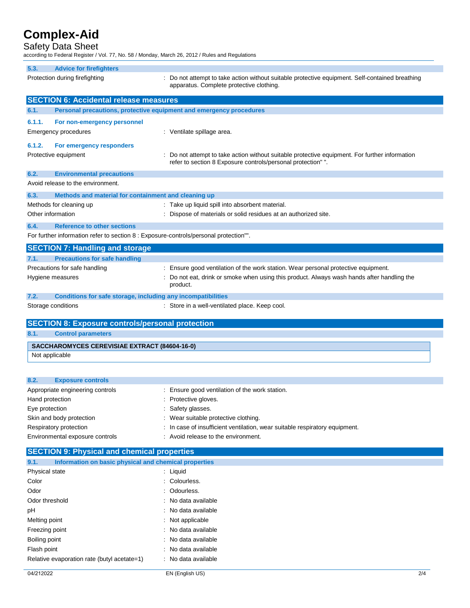# **Complex-Aid**

### Safety Data Sheet

according to Federal Register / Vol. 77, No. 58 / Monday, March 26, 2012 / Rules and Regulations

| 5.3.                            | <b>Advice for firefighters</b>                                                        |                                                                                                                                                                                |
|---------------------------------|---------------------------------------------------------------------------------------|--------------------------------------------------------------------------------------------------------------------------------------------------------------------------------|
| Protection during firefighting  |                                                                                       | : Do not attempt to take action without suitable protective equipment. Self-contained breathing<br>apparatus. Complete protective clothing.                                    |
|                                 | <b>SECTION 6: Accidental release measures</b>                                         |                                                                                                                                                                                |
| 6.1.                            |                                                                                       | Personal precautions, protective equipment and emergency procedures                                                                                                            |
| 6.1.1.<br>Emergency procedures  | For non-emergency personnel                                                           | : Ventilate spillage area.                                                                                                                                                     |
| 6.1.2.<br>Protective equipment  | For emergency responders                                                              | : Do not attempt to take action without suitable protective equipment. For further information<br>refer to section 8 Exposure controls/personal protection" ".                 |
| 6.2.                            | <b>Environmental precautions</b><br>Avoid release to the environment.                 |                                                                                                                                                                                |
| 6.3.                            | Methods and material for containment and cleaning up                                  |                                                                                                                                                                                |
| Methods for cleaning up         |                                                                                       | : Take up liquid spill into absorbent material.                                                                                                                                |
| Other information               |                                                                                       | : Dispose of materials or solid residues at an authorized site.                                                                                                                |
| 6.4.                            | <b>Reference to other sections</b>                                                    |                                                                                                                                                                                |
|                                 | For further information refer to section 8 : Exposure-controls/personal protection"". |                                                                                                                                                                                |
|                                 |                                                                                       |                                                                                                                                                                                |
|                                 | <b>SECTION 7: Handling and storage</b>                                                |                                                                                                                                                                                |
| 7.1.                            | <b>Precautions for safe handling</b>                                                  |                                                                                                                                                                                |
| Precautions for safe handling   |                                                                                       | : Ensure good ventilation of the work station. Wear personal protective equipment.<br>Do not eat, drink or smoke when using this product. Always wash hands after handling the |
| Hygiene measures                |                                                                                       | product.                                                                                                                                                                       |
| 7.2.                            | Conditions for safe storage, including any incompatibilities                          |                                                                                                                                                                                |
| Storage conditions              |                                                                                       | : Store in a well-ventilated place. Keep cool.                                                                                                                                 |
|                                 | <b>SECTION 8: Exposure controls/personal protection</b>                               |                                                                                                                                                                                |
| 8.1.                            |                                                                                       |                                                                                                                                                                                |
|                                 | <b>Control parameters</b>                                                             |                                                                                                                                                                                |
|                                 |                                                                                       |                                                                                                                                                                                |
|                                 | SACCHAROMYCES CEREVISIAE EXTRACT (84604-16-0)                                         |                                                                                                                                                                                |
| Not applicable                  |                                                                                       |                                                                                                                                                                                |
|                                 |                                                                                       |                                                                                                                                                                                |
| 8.2.                            | <b>Exposure controls</b>                                                              |                                                                                                                                                                                |
|                                 | Appropriate engineering controls                                                      | : Ensure good ventilation of the work station.                                                                                                                                 |
| Hand protection                 |                                                                                       | Protective gloves.                                                                                                                                                             |
| Eye protection                  |                                                                                       | : Safety glasses.                                                                                                                                                              |
| Skin and body protection        |                                                                                       | Wear suitable protective clothing.                                                                                                                                             |
| Respiratory protection          | Environmental exposure controls                                                       | In case of insufficient ventilation, wear suitable respiratory equipment.<br>: Avoid release to the environment.                                                               |
|                                 |                                                                                       |                                                                                                                                                                                |
|                                 | <b>SECTION 9: Physical and chemical properties</b>                                    |                                                                                                                                                                                |
| 9.1.                            | Information on basic physical and chemical properties                                 |                                                                                                                                                                                |
| Physical state                  |                                                                                       | : Liquid                                                                                                                                                                       |
| Color                           |                                                                                       | : Colourless.                                                                                                                                                                  |
| Odor                            |                                                                                       | Odourless.                                                                                                                                                                     |
| Odor threshold                  |                                                                                       | No data available                                                                                                                                                              |
| рH                              |                                                                                       | : No data available                                                                                                                                                            |
| Melting point                   |                                                                                       | Not applicable                                                                                                                                                                 |
| Freezing point<br>Boiling point |                                                                                       | No data available<br>No data available                                                                                                                                         |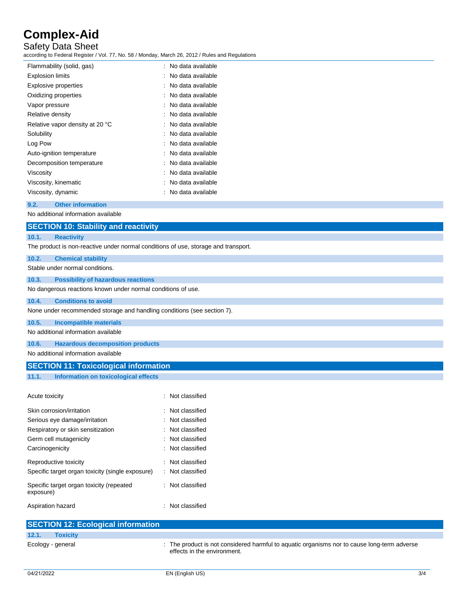# **Complex-Aid**

Safety Data Sheet

according to Federal Register / Vol. 77, No. 58 / Monday, March 26, 2012 / Rules and Regulations

| Flammability (solid, gas)       | : No data available |
|---------------------------------|---------------------|
| <b>Explosion limits</b>         | : No data available |
| Explosive properties            | : No data available |
| Oxidizing properties            | : No data available |
| Vapor pressure                  | : No data available |
| Relative density                | : No data available |
| Relative vapor density at 20 °C | : No data available |
| Solubility                      | : No data available |
| Log Pow                         | : No data available |
| Auto-ignition temperature       | : No data available |
| Decomposition temperature       | : No data available |
| Viscosity                       | No data available   |
| Viscosity, kinematic            | : No data available |
| Viscosity, dynamic              | No data available   |

### **9.2. Other information**

No additional information available

# **SECTION 10: Stability and reactivity**

### **10.1. Reactivity**

The product is non-reactive under normal conditions of use, storage and transport.

### **10.2. Chemical stability** Stable under normal conditions. **10.3. Possibility of hazardous reactions** No dangerous reactions known under normal conditions of use. **10.4. Conditions to avoid** None under recommended storage and handling conditions (see section 7).

#### **10.5. Incompatible materials**

No additional information available

#### **10.6. Hazardous decomposition products**

No additional information available

## **SECTION 11: Toxicological information**

### **11.1. Information on toxicological effects**

| Acute toxicity                                        | $\therefore$ Not classified |
|-------------------------------------------------------|-----------------------------|
| Skin corrosion/irritation                             | $\therefore$ Not classified |
| Serious eye damage/irritation                         | : Not classified            |
| Respiratory or skin sensitization                     | : Not classified            |
| Germ cell mutagenicity                                | $\therefore$ Not classified |
| Carcinogenicity                                       | : Not classified            |
| Reproductive toxicity                                 | $\therefore$ Not classified |
| Specific target organ toxicity (single exposure)      | : Not classified            |
| Specific target organ toxicity (repeated<br>exposure) | : Not classified            |
| Aspiration hazard                                     | $\therefore$ Not classified |

|                   | <b>SECTION 12: Ecological information</b> |                                                                                                                            |
|-------------------|-------------------------------------------|----------------------------------------------------------------------------------------------------------------------------|
| 12.1.             | <b>Toxicity</b>                           |                                                                                                                            |
| Ecology - general |                                           | : The product is not considered harmful to aquatic organisms nor to cause long-term adverse<br>effects in the environment. |